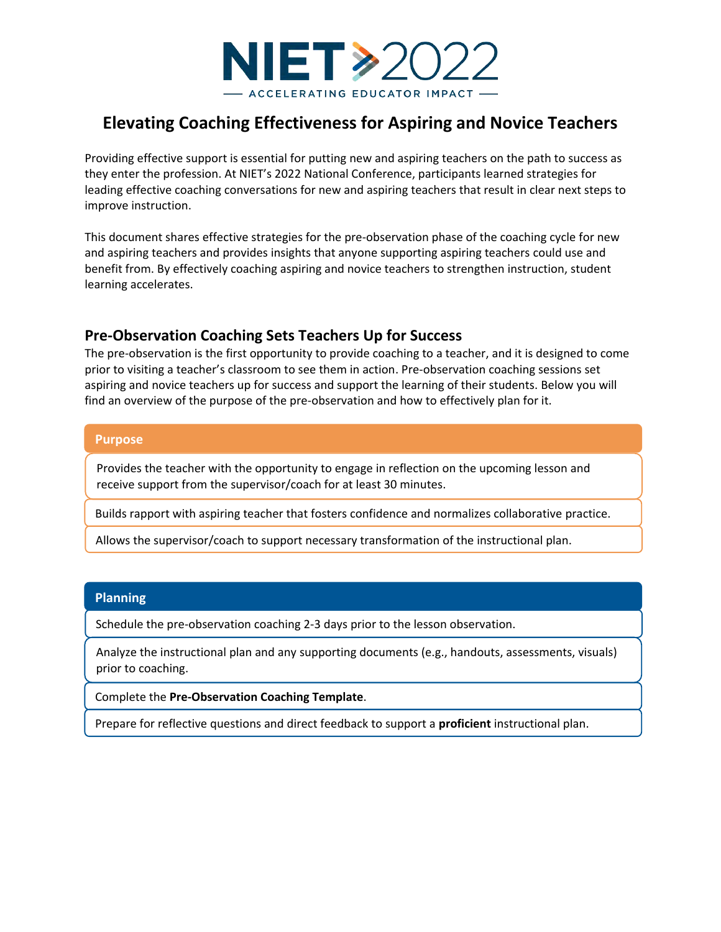

# **Elevating Coaching Effectiveness for Aspiring and Novice Teachers**

Providing effective support is essential for putting new and aspiring teachers on the path to success as they enter the profession. At NIET's 2022 National Conference, participants learned strategies for leading effective coaching conversations for new and aspiring teachers that result in clear next steps to improve instruction.

This document shares effective strategies for the pre-observation phase of the coaching cycle for new and aspiring teachers and provides insights that anyone supporting aspiring teachers could use and benefit from. By effectively coaching aspiring and novice teachers to strengthen instruction, student learning accelerates.

### **Pre-Observation Coaching Sets Teachers Up for Success**

The pre-observation is the first opportunity to provide coaching to a teacher, and it is designed to come prior to visiting a teacher's classroom to see them in action. Pre-observation coaching sessions set aspiring and novice teachers up for success and support the learning of their students. Below you will find an overview of the purpose of the pre-observation and how to effectively plan for it.

#### **Purpose**

Provides the teacher with the opportunity to engage in reflection on the upcoming lesson and receive support from the supervisor/coach for at least 30 minutes.

Builds rapport with aspiring teacher that fosters confidence and normalizes collaborative practice.

Allows the supervisor/coach to support necessary transformation of the instructional plan.

#### **Planning**

Schedule the pre-observation coaching 2-3 days prior to the lesson observation.

Analyze the instructional plan and any supporting documents (e.g., handouts, assessments, visuals) prior to coaching.

Complete the **Pre-Observation Coaching Template**.

Prepare for reflective questions and direct feedback to support a **proficient** instructional plan.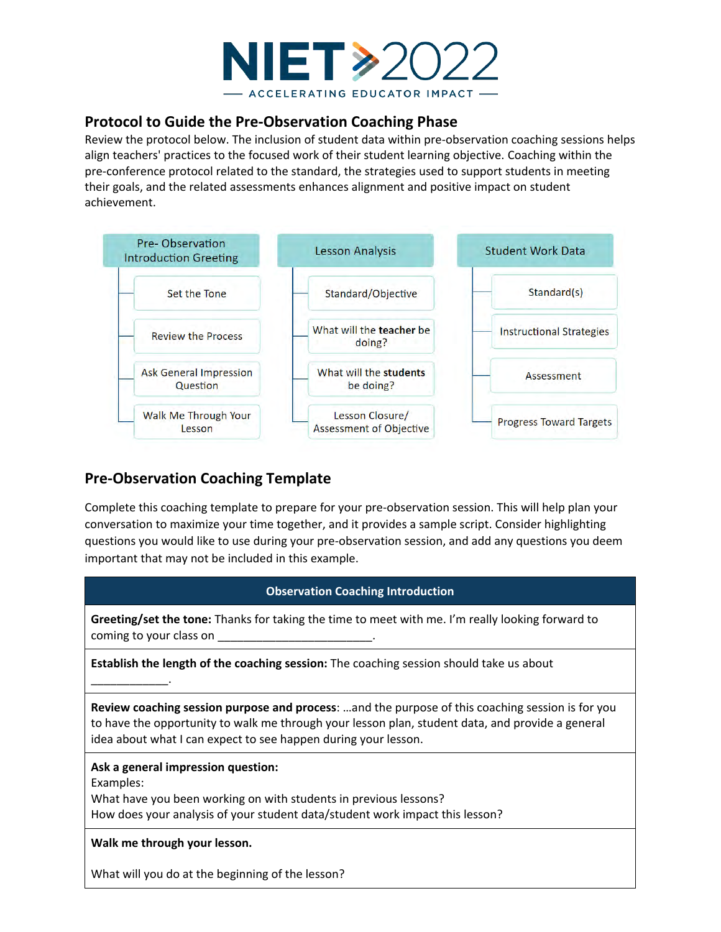

### **Protocol to Guide the Pre-Observation Coaching Phase**

Review the protocol below. The inclusion of student data within pre-observation coaching sessions helps align teachers' practices to the focused work of their student learning objective. Coaching within the pre-conference protocol related to the standard, the strategies used to support students in meeting their goals, and the related assessments enhances alignment and positive impact on student achievement.



## **Pre-Observation Coaching Template**

Complete this coaching template to prepare for your pre-observation session. This will help plan your conversation to maximize your time together, and it provides a sample script. Consider highlighting questions you would like to use during your pre-observation session, and add any questions you deem important that may not be included in this example.

| <b>Observation Coaching Introduction</b>                                                                                                                                                                                                                               |
|------------------------------------------------------------------------------------------------------------------------------------------------------------------------------------------------------------------------------------------------------------------------|
| Greeting/set the tone: Thanks for taking the time to meet with me. I'm really looking forward to<br>coming to your class on<br><u> 1980 - Jan Stein Harry Harry Harry Harry Harry Harry Harry Harry Harry Harry Harry Harry Harry Harry Harry H</u>                    |
| <b>Establish the length of the coaching session:</b> The coaching session should take us about                                                                                                                                                                         |
| Review coaching session purpose and process: and the purpose of this coaching session is for you<br>to have the opportunity to walk me through your lesson plan, student data, and provide a general<br>idea about what I can expect to see happen during your lesson. |
| Ask a general impression question:<br>Examples:<br>What have you been working on with students in previous lessons?<br>How does your analysis of your student data/student work impact this lesson?                                                                    |
| Walk me through your lesson.                                                                                                                                                                                                                                           |
| What will you do at the beginning of the lesson?                                                                                                                                                                                                                       |